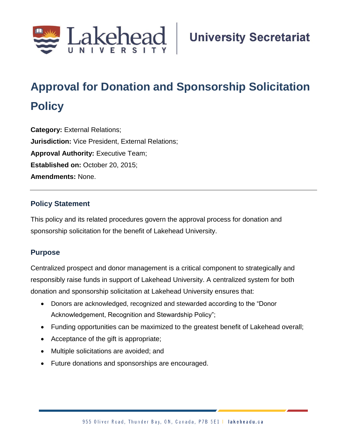

# **Approval for Donation and Sponsorship Solicitation Policy**

**Category:** External Relations; **Jurisdiction:** Vice President, External Relations; **Approval Authority:** Executive Team; **Established on:** October 20, 2015; **Amendments:** None.

## **Policy Statement**

This policy and its related procedures govern the approval process for donation and sponsorship solicitation for the benefit of Lakehead University.

## **Purpose**

Centralized prospect and donor management is a critical component to strategically and responsibly raise funds in support of Lakehead University. A centralized system for both donation and sponsorship solicitation at Lakehead University ensures that:

- Donors are acknowledged, recognized and stewarded according to the "Donor Acknowledgement, Recognition and Stewardship Policy";
- Funding opportunities can be maximized to the greatest benefit of Lakehead overall;
- Acceptance of the gift is appropriate;
- Multiple solicitations are avoided; and
- Future donations and sponsorships are encouraged.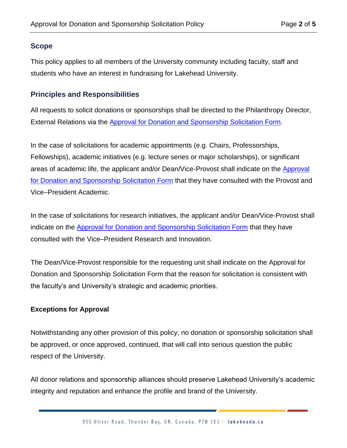## **Scope**

This policy applies to all members of the University community including faculty, staff and students who have an interest in fundraising for Lakehead University.

## **Principles and Responsibilities**

All requests to solicit donations or sponsorships shall be directed to the Philanthropy Director, External Relations via the [Approval for Donation and Sponsorship Solicitation Form.](https://www.lakeheadu.ca/about/sg/policies-procedures-and-protocols/policies/list/node/52259)

In the case of solicitations for academic appointments (e.g. Chairs, Professorships, Fellowships), academic initiatives (e.g. lecture series or major scholarships), or significant areas of academic life, the applicant and/or Dean/Vice-Provost shall indicate on the [Approval](https://www.lakeheadu.ca/about/sg/policies-procedures-and-protocols/policies/list/node/52259)  [for Donation and Sponsorship Solicitation Form](https://www.lakeheadu.ca/about/sg/policies-procedures-and-protocols/policies/list/node/52259) that they have consulted with the Provost and Vice–President Academic.

In the case of solicitations for research initiatives, the applicant and/or Dean/Vice-Provost shall indicate on the [Approval for Donation and Sponsorship Solicitation Form](https://www.lakeheadu.ca/about/sg/policies-procedures-and-protocols/policies/list/node/52259) that they have consulted with the Vice–President Research and Innovation.

The Dean/Vice-Provost responsible for the requesting unit shall indicate on the Approval for Donation and Sponsorship Solicitation Form that the reason for solicitation is consistent with the faculty's and University's strategic and academic priorities.

## **Exceptions for Approval**

Notwithstanding any other provision of this policy, no donation or sponsorship solicitation shall be approved, or once approved, continued, that will call into serious question the public respect of the University.

All donor relations and sponsorship alliances should preserve Lakehead University's academic integrity and reputation and enhance the profile and brand of the University.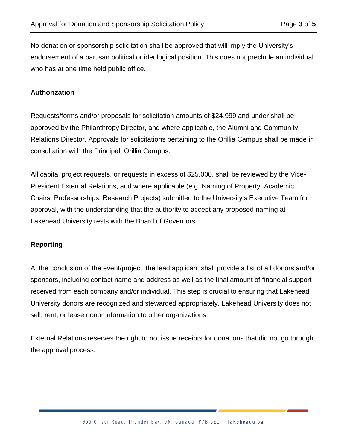No donation or sponsorship solicitation shall be approved that will imply the University's endorsement of a partisan political or ideological position. This does not preclude an individual who has at one time held public office.

#### **Authorization**

Requests/forms and/or proposals for solicitation amounts of \$24,999 and under shall be approved by the Philanthropy Director, and where applicable, the Alumni and Community Relations Director. Approvals for solicitations pertaining to the Orillia Campus shall be made in consultation with the Principal, Orillia Campus.

All capital project requests, or requests in excess of \$25,000, shall be reviewed by the Vice-President External Relations, and where applicable (e.g. Naming of Property, Academic Chairs, Professorships, Research Projects) submitted to the University's Executive Team for approval, with the understanding that the authority to accept any proposed naming at Lakehead University rests with the Board of Governors.

## **Reporting**

At the conclusion of the event/project, the lead applicant shall provide a list of all donors and/or sponsors, including contact name and address as well as the final amount of financial support received from each company and/or individual. This step is crucial to ensuring that Lakehead University donors are recognized and stewarded appropriately. Lakehead University does not sell, rent, or lease donor information to other organizations.

External Relations reserves the right to not issue receipts for donations that did not go through the approval process.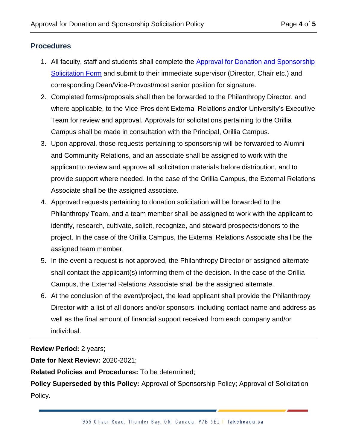## **Procedures**

- 1. All faculty, staff and students shall complete the Approval for Donation and Sponsorship [Solicitation Form](https://www.lakeheadu.ca/about/sg/policies-procedures-and-protocols/policies/list/node/52259) and submit to their immediate supervisor (Director, Chair etc.) and corresponding Dean/Vice-Provost/most senior position for signature.
- 2. Completed forms/proposals shall then be forwarded to the Philanthropy Director, and where applicable, to the Vice-President External Relations and/or University's Executive Team for review and approval. Approvals for solicitations pertaining to the Orillia Campus shall be made in consultation with the Principal, Orillia Campus.
- 3. Upon approval, those requests pertaining to sponsorship will be forwarded to Alumni and Community Relations, and an associate shall be assigned to work with the applicant to review and approve all solicitation materials before distribution, and to provide support where needed. In the case of the Orillia Campus, the External Relations Associate shall be the assigned associate.
- 4. Approved requests pertaining to donation solicitation will be forwarded to the Philanthropy Team, and a team member shall be assigned to work with the applicant to identify, research, cultivate, solicit, recognize, and steward prospects/donors to the project. In the case of the Orillia Campus, the External Relations Associate shall be the assigned team member.
- 5. In the event a request is not approved, the Philanthropy Director or assigned alternate shall contact the applicant(s) informing them of the decision. In the case of the Orillia Campus, the External Relations Associate shall be the assigned alternate.
- 6. At the conclusion of the event/project, the lead applicant shall provide the Philanthropy Director with a list of all donors and/or sponsors, including contact name and address as well as the final amount of financial support received from each company and/or individual.

**Review Period:** 2 years;

**Date for Next Review:** 2020-2021;

**Related Policies and Procedures:** To be determined;

**Policy Superseded by this Policy:** Approval of Sponsorship Policy; Approval of Solicitation Policy.